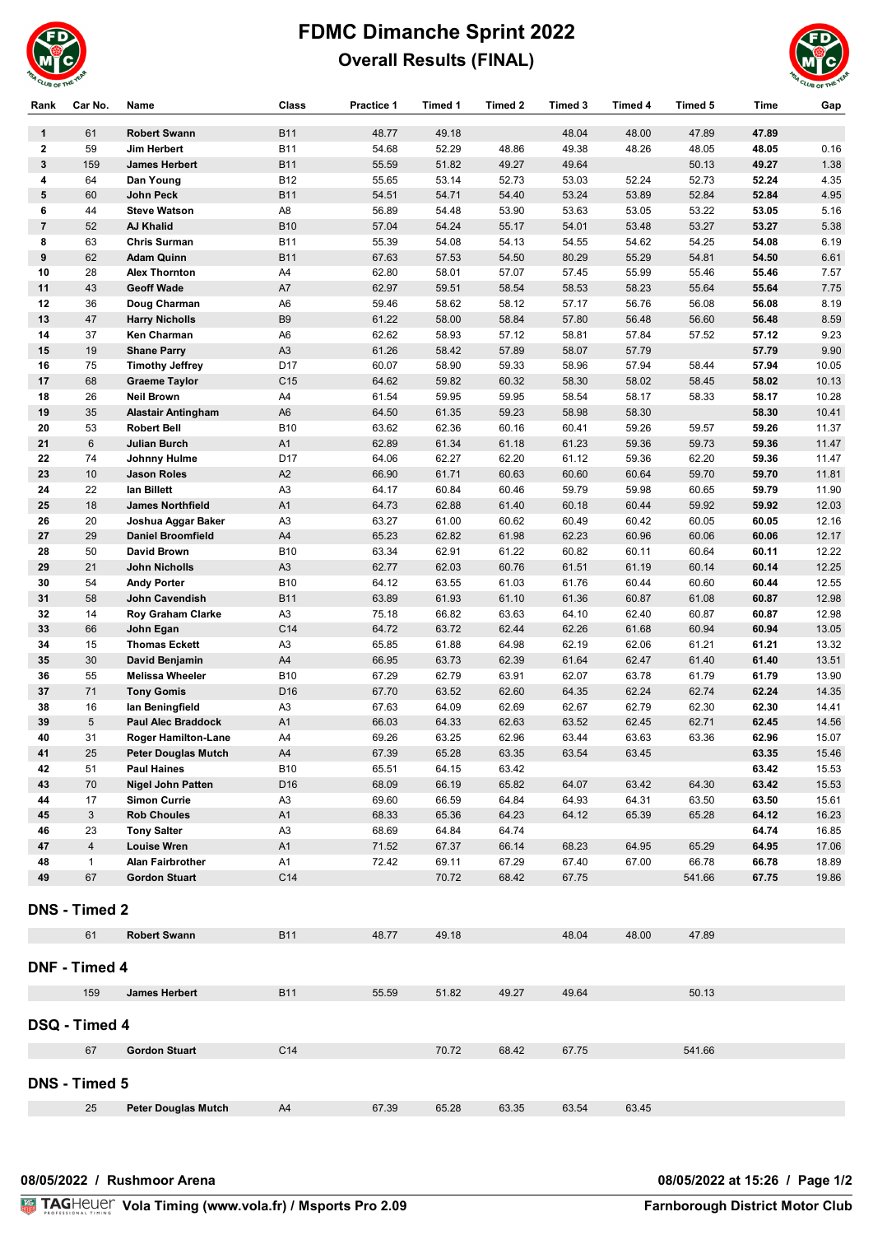

## **FDMC Dimanche Sprint 2022 Overall Results (FINAL)**



| Rank           | Car No.              | Name                       | <b>Class</b>    | <b>Practice 1</b> | Timed 1 | Timed 2 | Timed 3 | Timed 4 | Timed 5 | <b>Time</b> | Gap   |
|----------------|----------------------|----------------------------|-----------------|-------------------|---------|---------|---------|---------|---------|-------------|-------|
| $\mathbf{1}$   | 61                   | <b>Robert Swann</b>        | <b>B11</b>      | 48.77             | 49.18   |         | 48.04   | 48.00   | 47.89   | 47.89       |       |
| $\mathbf{2}$   | 59                   | Jim Herbert                | <b>B11</b>      | 54.68             | 52.29   | 48.86   | 49.38   | 48.26   | 48.05   | 48.05       | 0.16  |
| $\mathbf{3}$   | 159                  | <b>James Herbert</b>       | <b>B11</b>      | 55.59             | 51.82   | 49.27   | 49.64   |         | 50.13   | 49.27       | 1.38  |
| 4              | 64                   | Dan Young                  | <b>B12</b>      | 55.65             | 53.14   | 52.73   | 53.03   | 52.24   | 52.73   | 52.24       | 4.35  |
| 5              | 60                   | John Peck                  | <b>B11</b>      | 54.51             | 54.71   | 54.40   | 53.24   | 53.89   | 52.84   | 52.84       | 4.95  |
| 6              | 44                   | <b>Steve Watson</b>        | A8              | 56.89             | 54.48   | 53.90   | 53.63   | 53.05   | 53.22   | 53.05       | 5.16  |
| $\overline{7}$ | 52                   | <b>AJ Khalid</b>           | <b>B10</b>      | 57.04             | 54.24   | 55.17   | 54.01   | 53.48   | 53.27   | 53.27       | 5.38  |
| 8              | 63                   | <b>Chris Surman</b>        | B11             | 55.39             | 54.08   | 54.13   | 54.55   | 54.62   | 54.25   | 54.08       | 6.19  |
| 9              | 62                   | <b>Adam Quinn</b>          | <b>B11</b>      | 67.63             | 57.53   | 54.50   | 80.29   | 55.29   | 54.81   | 54.50       | 6.61  |
| 10             | 28                   | <b>Alex Thornton</b>       | A4              | 62.80             | 58.01   | 57.07   | 57.45   | 55.99   | 55.46   | 55.46       | 7.57  |
| 11             | 43                   | <b>Geoff Wade</b>          | A7              | 62.97             | 59.51   | 58.54   | 58.53   | 58.23   | 55.64   | 55.64       | 7.75  |
| 12             | 36                   | Doug Charman               | A6              | 59.46             | 58.62   | 58.12   | 57.17   | 56.76   | 56.08   | 56.08       | 8.19  |
| 13             | 47                   | <b>Harry Nicholls</b>      | B <sub>9</sub>  | 61.22             | 58.00   | 58.84   | 57.80   | 56.48   | 56.60   | 56.48       | 8.59  |
| 14             | 37                   | Ken Charman                | A <sub>6</sub>  | 62.62             | 58.93   | 57.12   | 58.81   | 57.84   | 57.52   | 57.12       | 9.23  |
| 15             | 19                   | <b>Shane Parry</b>         | A <sub>3</sub>  | 61.26             | 58.42   | 57.89   | 58.07   | 57.79   |         | 57.79       | 9.90  |
| 16             | 75                   | <b>Timothy Jeffrey</b>     | D <sub>17</sub> | 60.07             | 58.90   | 59.33   | 58.96   | 57.94   | 58.44   | 57.94       | 10.05 |
| 17             | 68                   | <b>Graeme Taylor</b>       | C <sub>15</sub> | 64.62             | 59.82   | 60.32   | 58.30   | 58.02   | 58.45   | 58.02       | 10.13 |
| 18             | 26                   | <b>Neil Brown</b>          | A4              | 61.54             | 59.95   | 59.95   | 58.54   | 58.17   | 58.33   | 58.17       | 10.28 |
| 19             | 35                   | <b>Alastair Antingham</b>  | A <sub>6</sub>  | 64.50             | 61.35   | 59.23   | 58.98   | 58.30   |         | 58.30       | 10.41 |
| 20             | 53                   | <b>Robert Bell</b>         | <b>B10</b>      | 63.62             | 62.36   | 60.16   | 60.41   | 59.26   | 59.57   | 59.26       | 11.37 |
| 21             | 6                    | <b>Julian Burch</b>        | A1              | 62.89             | 61.34   | 61.18   | 61.23   | 59.36   | 59.73   | 59.36       | 11.47 |
| 22             | 74                   | Johnny Hulme               | D17             | 64.06             | 62.27   | 62.20   | 61.12   | 59.36   | 62.20   | 59.36       | 11.47 |
| 23             | 10                   | <b>Jason Roles</b>         | A2              | 66.90             | 61.71   | 60.63   | 60.60   | 60.64   | 59.70   | 59.70       | 11.81 |
| 24             | 22                   | lan Billett                | A <sub>3</sub>  | 64.17             | 60.84   | 60.46   | 59.79   | 59.98   | 60.65   | 59.79       | 11.90 |
| 25             | 18                   | <b>James Northfield</b>    | A1              | 64.73             | 62.88   | 61.40   | 60.18   | 60.44   | 59.92   | 59.92       | 12.03 |
| 26             | 20                   | Joshua Aggar Baker         | A3              | 63.27             | 61.00   | 60.62   | 60.49   | 60.42   | 60.05   | 60.05       | 12.16 |
| 27             | 29                   | <b>Daniel Broomfield</b>   | A4              | 65.23             | 62.82   | 61.98   | 62.23   | 60.96   | 60.06   | 60.06       | 12.17 |
| 28             | 50                   | David Brown                | <b>B10</b>      | 63.34             | 62.91   | 61.22   | 60.82   | 60.11   | 60.64   | 60.11       | 12.22 |
| 29             | 21                   | John Nicholls              | A <sub>3</sub>  | 62.77             | 62.03   | 60.76   | 61.51   | 61.19   | 60.14   | 60.14       | 12.25 |
| 30             | 54                   | <b>Andy Porter</b>         | <b>B10</b>      | 64.12             | 63.55   | 61.03   | 61.76   | 60.44   | 60.60   | 60.44       | 12.55 |
| 31             | 58                   | John Cavendish             | <b>B11</b>      | 63.89             | 61.93   | 61.10   | 61.36   | 60.87   | 61.08   | 60.87       | 12.98 |
| 32             | 14                   | Roy Graham Clarke          | A3              | 75.18             | 66.82   | 63.63   | 64.10   | 62.40   | 60.87   | 60.87       | 12.98 |
| 33             | 66                   | John Egan                  | C14             | 64.72             | 63.72   | 62.44   | 62.26   | 61.68   | 60.94   | 60.94       | 13.05 |
| 34             | 15                   | <b>Thomas Eckett</b>       | A3              | 65.85             | 61.88   | 64.98   | 62.19   | 62.06   | 61.21   | 61.21       | 13.32 |
| 35             | 30                   | David Benjamin             | A4              | 66.95             | 63.73   | 62.39   | 61.64   | 62.47   | 61.40   | 61.40       | 13.51 |
| 36             | 55                   | <b>Melissa Wheeler</b>     | <b>B10</b>      | 67.29             | 62.79   | 63.91   | 62.07   | 63.78   | 61.79   | 61.79       | 13.90 |
| 37             | 71                   | <b>Tony Gomis</b>          | D16             | 67.70             | 63.52   | 62.60   | 64.35   | 62.24   | 62.74   | 62.24       | 14.35 |
| 38             | 16                   | lan Beningfield            | A3              | 67.63             | 64.09   | 62.69   | 62.67   | 62.79   | 62.30   | 62.30       | 14.41 |
| 39             | 5                    | <b>Paul Alec Braddock</b>  | A1              | 66.03             | 64.33   | 62.63   | 63.52   | 62.45   | 62.71   | 62.45       | 14.56 |
| 40             | 31                   | <b>Roger Hamilton-Lane</b> | A4              | 69.26             | 63.25   | 62.96   | 63.44   | 63.63   | 63.36   | 62.96       | 15.07 |
| 41             | 25                   | <b>Peter Douglas Mutch</b> | A4              | 67.39             | 65.28   | 63.35   | 63.54   | 63.45   |         | 63.35       | 15.46 |
| 42             | 51                   | <b>Paul Haines</b>         | B10             | 65.51             | 64.15   | 63.42   |         |         |         | 63.42       | 15.53 |
| 43             | 70                   | <b>Nigel John Patten</b>   | D16             | 68.09             | 66.19   | 65.82   | 64.07   | 63.42   | 64.30   | 63.42       | 15.53 |
| 44             | 17                   | <b>Simon Currie</b>        | A3              | 69.60             | 66.59   | 64.84   | 64.93   | 64.31   | 63.50   | 63.50       | 15.61 |
| 45             | 3                    | <b>Rob Choules</b>         | A <sub>1</sub>  | 68.33             | 65.36   | 64.23   | 64.12   | 65.39   | 65.28   | 64.12       | 16.23 |
| 46             | 23                   | <b>Tony Salter</b>         | A3              | 68.69             | 64.84   | 64.74   |         |         |         | 64.74       | 16.85 |
| 47             | 4                    | <b>Louise Wren</b>         | A <sub>1</sub>  | 71.52             | 67.37   | 66.14   | 68.23   | 64.95   | 65.29   | 64.95       | 17.06 |
| 48             | $\mathbf{1}$         | Alan Fairbrother           | A1              | 72.42             | 69.11   | 67.29   | 67.40   | 67.00   | 66.78   | 66.78       | 18.89 |
| 49             | 67                   | <b>Gordon Stuart</b>       | C14             |                   | 70.72   | 68.42   | 67.75   |         | 541.66  | 67.75       | 19.86 |
|                | <b>DNS - Timed 2</b> |                            |                 |                   |         |         |         |         |         |             |       |
|                | 61                   | <b>Robert Swann</b>        | <b>B11</b>      | 48.77             | 49.18   |         | 48.04   | 48.00   | 47.89   |             |       |
|                | DNF - Timed 4        |                            |                 |                   |         |         |         |         |         |             |       |
|                | 159                  | <b>James Herbert</b>       | <b>B11</b>      | 55.59             | 51.82   | 49.27   | 49.64   |         | 50.13   |             |       |
|                |                      |                            |                 |                   |         |         |         |         |         |             |       |
|                | DSQ - Timed 4        |                            |                 |                   |         |         |         |         |         |             |       |
|                | 67                   | <b>Gordon Stuart</b>       | C <sub>14</sub> |                   | 70.72   | 68.42   | 67.75   |         | 541.66  |             |       |
| DNS - Timed 5  |                      |                            |                 |                   |         |         |         |         |         |             |       |
|                | 25                   | <b>Peter Douglas Mutch</b> | A4              | 67.39             | 65.28   | 63.35   | 63.54   | 63.45   |         |             |       |
|                |                      |                            |                 |                   |         |         |         |         |         |             |       |